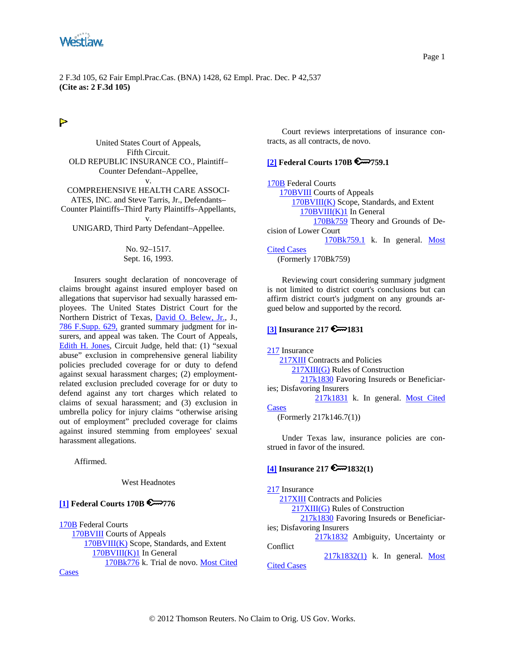<span id="page-0-0"></span>

# $\triangleright$

United States Court of Appeals, Fifth Circuit. OLD REPUBLIC INSURANCE CO., Plaintiff– Counter Defendant–Appellee, v. COMPREHENSIVE HEALTH CARE ASSOCI-ATES, INC. and Steve Tarris, Jr., Defendants– Counter Plaintiffs–Third Party Plaintiffs–Appellants,

v. UNIGARD, Third Party Defendant–Appellee.

#### No. 92–1517. Sept. 16, 1993.

Insurers sought declaration of noncoverage of claims brought against insured employer based on allegations that supervisor had sexually harassed employees. The United States District Court for the Northern District of Texas, [David O. Belew, Jr.,](http://www.westlaw.com/Find/Default.wl?rs=dfa1.0&vr=2.0&DB=PROFILER-WLD&DocName=0275307901&FindType=h) J., [786 F.Supp. 629,](http://www.westlaw.com/Find/Default.wl?rs=dfa1.0&vr=2.0&DB=345&FindType=Y&SerialNum=1992065652) granted summary judgment for insurers, and appeal was taken. The Court of Appeals, [Edith H. Jones](http://www.westlaw.com/Find/Default.wl?rs=dfa1.0&vr=2.0&DB=PROFILER-WLD&DocName=0168836901&FindType=h), Circuit Judge, held that: (1) "sexual abuse" exclusion in comprehensive general liability policies precluded coverage for or duty to defend against sexual harassment charges; (2) employmentrelated exclusion precluded coverage for or duty to defend against any tort charges which related to claims of sexual harassment; and (3) exclusion in umbrella policy for injury claims "otherwise arising out of employment" precluded coverage for claims against insured stemming from employees' sexual harassment allegations.

Affirmed.

West Headnotes

## **[\[1\]](#page-3-0) Federal Courts 170B 6**776

[170B](http://www.westlaw.com/KeyNumber/Default.wl?rs=dfa1.0&vr=2.0&CMD=KEY&DocName=170B) Federal Courts [170BVIII](http://www.westlaw.com/KeyNumber/Default.wl?rs=dfa1.0&vr=2.0&CMD=KEY&DocName=170BVIII) Courts of Appeals [170BVIII\(K\)](http://www.westlaw.com/KeyNumber/Default.wl?rs=dfa1.0&vr=2.0&CMD=KEY&DocName=170BVIII%28K%29) Scope, Standards, and Extent [170BVIII\(K\)1](http://www.westlaw.com/KeyNumber/Default.wl?rs=dfa1.0&vr=2.0&CMD=KEY&DocName=170BVIII%28K%291) In General [170Bk776](http://www.westlaw.com/KeyNumber/Default.wl?rs=dfa1.0&vr=2.0&CMD=KEY&DocName=170Bk776) k. Trial de novo. [Most Cited](http://www.westlaw.com/Digest/Default.wl?rs=dfa1.0&vr=2.0&CMD=MCC&DocName=170Bk776)  [Cases](http://www.westlaw.com/Digest/Default.wl?rs=dfa1.0&vr=2.0&CMD=MCC&DocName=170Bk776)

Court reviews interpretations of insurance contracts, as all contracts, de novo.

## **[\[2\]](#page-3-0) Federal Courts 170B 759.1**

[170B](http://www.westlaw.com/KeyNumber/Default.wl?rs=dfa1.0&vr=2.0&CMD=KEY&DocName=170B) Federal Courts [170BVIII](http://www.westlaw.com/KeyNumber/Default.wl?rs=dfa1.0&vr=2.0&CMD=KEY&DocName=170BVIII) Courts of Appeals [170BVIII\(K\)](http://www.westlaw.com/KeyNumber/Default.wl?rs=dfa1.0&vr=2.0&CMD=KEY&DocName=170BVIII%28K%29) Scope, Standards, and Extent [170BVIII\(K\)1](http://www.westlaw.com/KeyNumber/Default.wl?rs=dfa1.0&vr=2.0&CMD=KEY&DocName=170BVIII%28K%291) In General [170Bk759](http://www.westlaw.com/KeyNumber/Default.wl?rs=dfa1.0&vr=2.0&CMD=KEY&DocName=170Bk759) Theory and Grounds of Decision of Lower Court [170Bk759.1](http://www.westlaw.com/KeyNumber/Default.wl?rs=dfa1.0&vr=2.0&CMD=KEY&DocName=170Bk759.1) k. In general. [Most](http://www.westlaw.com/Digest/Default.wl?rs=dfa1.0&vr=2.0&CMD=MCC&DocName=170Bk759.1)  [Cited Cases](http://www.westlaw.com/Digest/Default.wl?rs=dfa1.0&vr=2.0&CMD=MCC&DocName=170Bk759.1) (Formerly 170Bk759)

Reviewing court considering summary judgment is not limited to district court's conclusions but can affirm district court's judgment on any grounds argued below and supported by the record.

# **[\[3\]](#page-3-0) Insurance 217 6** 1831

[217](http://www.westlaw.com/KeyNumber/Default.wl?rs=dfa1.0&vr=2.0&CMD=KEY&DocName=217) Insurance [217XIII](http://www.westlaw.com/KeyNumber/Default.wl?rs=dfa1.0&vr=2.0&CMD=KEY&DocName=217XIII) Contracts and Policies [217XIII\(G\)](http://www.westlaw.com/KeyNumber/Default.wl?rs=dfa1.0&vr=2.0&CMD=KEY&DocName=217XIII%28G%29) Rules of Construction [217k1830](http://www.westlaw.com/KeyNumber/Default.wl?rs=dfa1.0&vr=2.0&CMD=KEY&DocName=217k1830) Favoring Insureds or Beneficiaries; Disfavoring Insurers [217k1831](http://www.westlaw.com/KeyNumber/Default.wl?rs=dfa1.0&vr=2.0&CMD=KEY&DocName=217k1831) k. In general. [Most Cited](http://www.westlaw.com/Digest/Default.wl?rs=dfa1.0&vr=2.0&CMD=MCC&DocName=217k1831)  **[Cases](http://www.westlaw.com/Digest/Default.wl?rs=dfa1.0&vr=2.0&CMD=MCC&DocName=217k1831)** (Formerly 217k146.7(1))

Under Texas law, insurance policies are construed in favor of the insured.

# **[\[4\]](#page-3-0) Insurance 217 @**1832(1)

[217](http://www.westlaw.com/KeyNumber/Default.wl?rs=dfa1.0&vr=2.0&CMD=KEY&DocName=217) Insurance [217XIII](http://www.westlaw.com/KeyNumber/Default.wl?rs=dfa1.0&vr=2.0&CMD=KEY&DocName=217XIII) Contracts and Policies [217XIII\(G\)](http://www.westlaw.com/KeyNumber/Default.wl?rs=dfa1.0&vr=2.0&CMD=KEY&DocName=217XIII%28G%29) Rules of Construction [217k1830](http://www.westlaw.com/KeyNumber/Default.wl?rs=dfa1.0&vr=2.0&CMD=KEY&DocName=217k1830) Favoring Insureds or Beneficiaries; Disfavoring Insurers [217k1832](http://www.westlaw.com/KeyNumber/Default.wl?rs=dfa1.0&vr=2.0&CMD=KEY&DocName=217k1832) Ambiguity, Uncertainty or **Conflict**  [217k1832\(1\)](http://www.westlaw.com/KeyNumber/Default.wl?rs=dfa1.0&vr=2.0&CMD=KEY&DocName=217k1832%281%29) k. In general. [Most](http://www.westlaw.com/Digest/Default.wl?rs=dfa1.0&vr=2.0&CMD=MCC&DocName=217k1832%281%29)  [Cited Cases](http://www.westlaw.com/Digest/Default.wl?rs=dfa1.0&vr=2.0&CMD=MCC&DocName=217k1832%281%29)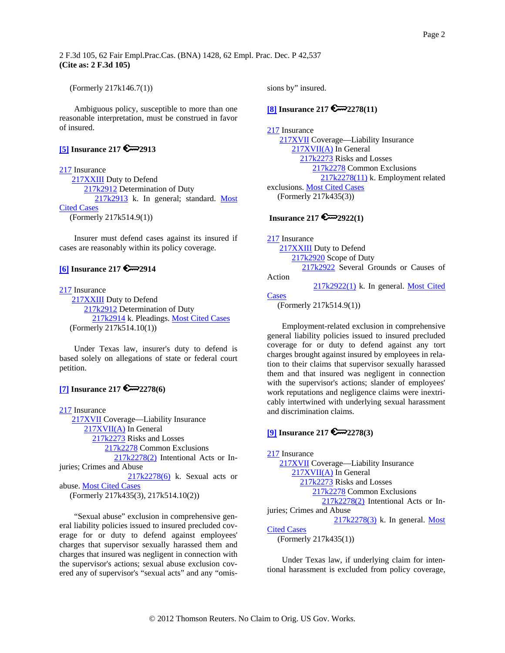<span id="page-1-0"></span>(Formerly 217k146.7(1))

Ambiguous policy, susceptible to more than one reasonable interpretation, must be construed in favor of insured.

## **[\[5\]](#page-3-0) Insurance 217 2913**

[217](http://www.westlaw.com/KeyNumber/Default.wl?rs=dfa1.0&vr=2.0&CMD=KEY&DocName=217) Insurance [217XXIII](http://www.westlaw.com/KeyNumber/Default.wl?rs=dfa1.0&vr=2.0&CMD=KEY&DocName=217XXIII) Duty to Defend [217k2912](http://www.westlaw.com/KeyNumber/Default.wl?rs=dfa1.0&vr=2.0&CMD=KEY&DocName=217k2912) Determination of Duty [217k2913](http://www.westlaw.com/KeyNumber/Default.wl?rs=dfa1.0&vr=2.0&CMD=KEY&DocName=217k2913) k. In general; standard. Most [Cited Cases](http://www.westlaw.com/Digest/Default.wl?rs=dfa1.0&vr=2.0&CMD=MCC&DocName=217k2913) (Formerly 217k514.9(1))

Insurer must defend cases against its insured if cases are reasonably within its policy coverage.

# **[\[6\]](#page-3-0) Insurance 217 2914**

[217](http://www.westlaw.com/KeyNumber/Default.wl?rs=dfa1.0&vr=2.0&CMD=KEY&DocName=217) Insurance [217XXIII](http://www.westlaw.com/KeyNumber/Default.wl?rs=dfa1.0&vr=2.0&CMD=KEY&DocName=217XXIII) Duty to Defend [217k2912](http://www.westlaw.com/KeyNumber/Default.wl?rs=dfa1.0&vr=2.0&CMD=KEY&DocName=217k2912) Determination of Duty [217k2914](http://www.westlaw.com/KeyNumber/Default.wl?rs=dfa1.0&vr=2.0&CMD=KEY&DocName=217k2914) k. Pleadings. [Most Cited Cases](http://www.westlaw.com/Digest/Default.wl?rs=dfa1.0&vr=2.0&CMD=MCC&DocName=217k2914) (Formerly 217k514.10(1))

Under Texas law, insurer's duty to defend is based solely on allegations of state or federal court petition.

# **[\[7\]](#page-4-0) Insurance 217 2278(6)**

[217](http://www.westlaw.com/KeyNumber/Default.wl?rs=dfa1.0&vr=2.0&CMD=KEY&DocName=217) Insurance [217XVII](http://www.westlaw.com/KeyNumber/Default.wl?rs=dfa1.0&vr=2.0&CMD=KEY&DocName=217XVII) Coverage––Liability Insurance [217XVII\(A\)](http://www.westlaw.com/KeyNumber/Default.wl?rs=dfa1.0&vr=2.0&CMD=KEY&DocName=217XVII%28A%29) In General [217k2273](http://www.westlaw.com/KeyNumber/Default.wl?rs=dfa1.0&vr=2.0&CMD=KEY&DocName=217k2273) Risks and Losses [217k2278](http://www.westlaw.com/KeyNumber/Default.wl?rs=dfa1.0&vr=2.0&CMD=KEY&DocName=217k2278) Common Exclusions [217k2278\(2\)](http://www.westlaw.com/KeyNumber/Default.wl?rs=dfa1.0&vr=2.0&CMD=KEY&DocName=217k2278%282%29) Intentional Acts or Injuries; Crimes and Abuse [217k2278\(6\)](http://www.westlaw.com/KeyNumber/Default.wl?rs=dfa1.0&vr=2.0&CMD=KEY&DocName=217k2278%286%29) k. Sexual acts or abuse. [Most Cited Cases](http://www.westlaw.com/Digest/Default.wl?rs=dfa1.0&vr=2.0&CMD=MCC&DocName=217k2278%286%29) (Formerly 217k435(3), 217k514.10(2))

"Sexual abuse" exclusion in comprehensive general liability policies issued to insured precluded coverage for or duty to defend against employees' charges that supervisor sexually harassed them and charges that insured was negligent in connection with the supervisor's actions; sexual abuse exclusion covered any of supervisor's "sexual acts" and any "omissions by" insured.

## **[\[8\]](#page-4-0) Insurance 217 2278(11)**

[217](http://www.westlaw.com/KeyNumber/Default.wl?rs=dfa1.0&vr=2.0&CMD=KEY&DocName=217) Insurance [217XVII](http://www.westlaw.com/KeyNumber/Default.wl?rs=dfa1.0&vr=2.0&CMD=KEY&DocName=217XVII) Coverage—Liability Insurance [217XVII\(A\)](http://www.westlaw.com/KeyNumber/Default.wl?rs=dfa1.0&vr=2.0&CMD=KEY&DocName=217XVII%28A%29) In General [217k2273](http://www.westlaw.com/KeyNumber/Default.wl?rs=dfa1.0&vr=2.0&CMD=KEY&DocName=217k2273) Risks and Losses [217k2278](http://www.westlaw.com/KeyNumber/Default.wl?rs=dfa1.0&vr=2.0&CMD=KEY&DocName=217k2278) Common Exclusions  $217k2278(11)$  k. Employment related exclusions. [Most Cited Cases](http://www.westlaw.com/Digest/Default.wl?rs=dfa1.0&vr=2.0&CMD=MCC&DocName=217k2278%2811%29) (Formerly 217k435(3))

# **Insurance 217 2922(1)**

[217](http://www.westlaw.com/KeyNumber/Default.wl?rs=dfa1.0&vr=2.0&CMD=KEY&DocName=217) Insurance [217XXIII](http://www.westlaw.com/KeyNumber/Default.wl?rs=dfa1.0&vr=2.0&CMD=KEY&DocName=217XXIII) Duty to Defend [217k2920](http://www.westlaw.com/KeyNumber/Default.wl?rs=dfa1.0&vr=2.0&CMD=KEY&DocName=217k2920) Scope of Duty [217k2922](http://www.westlaw.com/KeyNumber/Default.wl?rs=dfa1.0&vr=2.0&CMD=KEY&DocName=217k2922) Several Grounds or Causes of Action  $217k2922(1)$  k. In general. Most Cited **[Cases](http://www.westlaw.com/Digest/Default.wl?rs=dfa1.0&vr=2.0&CMD=MCC&DocName=217k2922%281%29)** 

(Formerly 217k514.9(1))

Employment-related exclusion in comprehensive general liability policies issued to insured precluded coverage for or duty to defend against any tort charges brought against insured by employees in relation to their claims that supervisor sexually harassed them and that insured was negligent in connection with the supervisor's actions; slander of employees' work reputations and negligence claims were inextricably intertwined with underlying sexual harassment and discrimination claims.

## **[\[9\]](#page-4-0) Insurance 217 2278(3)**

[217](http://www.westlaw.com/KeyNumber/Default.wl?rs=dfa1.0&vr=2.0&CMD=KEY&DocName=217) Insurance [217XVII](http://www.westlaw.com/KeyNumber/Default.wl?rs=dfa1.0&vr=2.0&CMD=KEY&DocName=217XVII) Coverage—Liability Insurance [217XVII\(A\)](http://www.westlaw.com/KeyNumber/Default.wl?rs=dfa1.0&vr=2.0&CMD=KEY&DocName=217XVII%28A%29) In General [217k2273](http://www.westlaw.com/KeyNumber/Default.wl?rs=dfa1.0&vr=2.0&CMD=KEY&DocName=217k2273) Risks and Losses [217k2278](http://www.westlaw.com/KeyNumber/Default.wl?rs=dfa1.0&vr=2.0&CMD=KEY&DocName=217k2278) Common Exclusions [217k2278\(2\)](http://www.westlaw.com/KeyNumber/Default.wl?rs=dfa1.0&vr=2.0&CMD=KEY&DocName=217k2278%282%29) Intentional Acts or Injuries; Crimes and Abuse  $217k2278(3)$  k. In general. Most [Cited Cases](http://www.westlaw.com/Digest/Default.wl?rs=dfa1.0&vr=2.0&CMD=MCC&DocName=217k2278%283%29) (Formerly 217k435(1))

Under Texas law, if underlying claim for intentional harassment is excluded from policy coverage,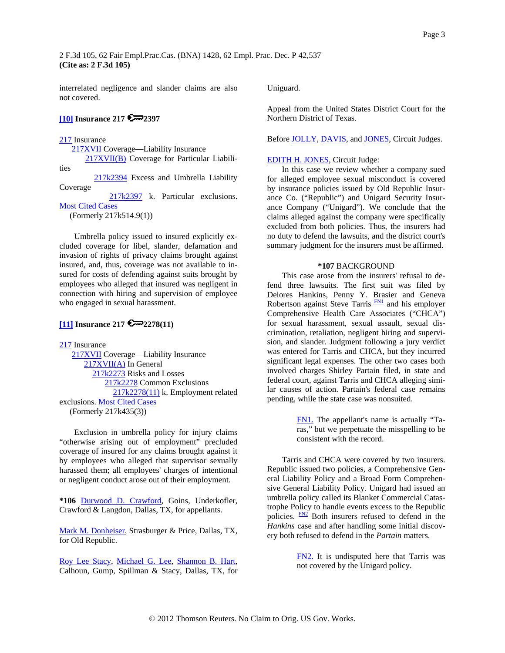<span id="page-2-0"></span>interrelated negligence and slander claims are also not covered.

## **[\[10\]](#page-5-0) Insurance 217 2397**

#### [217](http://www.westlaw.com/KeyNumber/Default.wl?rs=dfa1.0&vr=2.0&CMD=KEY&DocName=217) Insurance

[217XVII](http://www.westlaw.com/KeyNumber/Default.wl?rs=dfa1.0&vr=2.0&CMD=KEY&DocName=217XVII) Coverage-Liability Insurance [217XVII\(B\)](http://www.westlaw.com/KeyNumber/Default.wl?rs=dfa1.0&vr=2.0&CMD=KEY&DocName=217XVII%28B%29) Coverage for Particular Liabili-

ties

 [217k2394](http://www.westlaw.com/KeyNumber/Default.wl?rs=dfa1.0&vr=2.0&CMD=KEY&DocName=217k2394) Excess and Umbrella Liability Coverage

 [217k2397](http://www.westlaw.com/KeyNumber/Default.wl?rs=dfa1.0&vr=2.0&CMD=KEY&DocName=217k2397) k. Particular exclusions. [Most Cited Cases](http://www.westlaw.com/Digest/Default.wl?rs=dfa1.0&vr=2.0&CMD=MCC&DocName=217k2397)

(Formerly 217k514.9(1))

Umbrella policy issued to insured explicitly excluded coverage for libel, slander, defamation and invasion of rights of privacy claims brought against insured, and, thus, coverage was not available to insured for costs of defending against suits brought by employees who alleged that insured was negligent in connection with hiring and supervision of employee who engaged in sexual harassment.

# **[\[11\]](#page-5-0) Insurance 217 2278(11)**

[217](http://www.westlaw.com/KeyNumber/Default.wl?rs=dfa1.0&vr=2.0&CMD=KEY&DocName=217) Insurance [217XVII](http://www.westlaw.com/KeyNumber/Default.wl?rs=dfa1.0&vr=2.0&CMD=KEY&DocName=217XVII) Coverage––Liability Insurance [217XVII\(A\)](http://www.westlaw.com/KeyNumber/Default.wl?rs=dfa1.0&vr=2.0&CMD=KEY&DocName=217XVII%28A%29) In General [217k2273](http://www.westlaw.com/KeyNumber/Default.wl?rs=dfa1.0&vr=2.0&CMD=KEY&DocName=217k2273) Risks and Losses [217k2278](http://www.westlaw.com/KeyNumber/Default.wl?rs=dfa1.0&vr=2.0&CMD=KEY&DocName=217k2278) Common Exclusions [217k2278\(11\)](http://www.westlaw.com/KeyNumber/Default.wl?rs=dfa1.0&vr=2.0&CMD=KEY&DocName=217k2278%2811%29) k. Employment related exclusions. [Most Cited Cases](http://www.westlaw.com/Digest/Default.wl?rs=dfa1.0&vr=2.0&CMD=MCC&DocName=217k2278%2811%29) (Formerly 217k435(3))

Exclusion in umbrella policy for injury claims "otherwise arising out of employment" precluded coverage of insured for any claims brought against it by employees who alleged that supervisor sexually harassed them; all employees' charges of intentional or negligent conduct arose out of their employment.

**\*106** [Durwood D. Crawford,](http://www.westlaw.com/Find/Default.wl?rs=dfa1.0&vr=2.0&DB=PROFILER-WLD&DocName=0248648001&FindType=h) Goins, Underkofler, Crawford & Langdon, Dallas, TX, for appellants.

[Mark M. Donheiser](http://www.westlaw.com/Find/Default.wl?rs=dfa1.0&vr=2.0&DB=PROFILER-WLD&DocName=0187760001&FindType=h), Strasburger & Price, Dallas, TX, for Old Republic.

[Roy Lee Stacy,](http://www.westlaw.com/Find/Default.wl?rs=dfa1.0&vr=2.0&DB=PROFILER-WLD&DocName=0165581901&FindType=h) [Michael G. Lee,](http://www.westlaw.com/Find/Default.wl?rs=dfa1.0&vr=2.0&DB=PROFILER-WLD&DocName=0212035201&FindType=h) [Shannon B. Hart](http://www.westlaw.com/Find/Default.wl?rs=dfa1.0&vr=2.0&DB=PROFILER-WLD&DocName=0211224001&FindType=h), Calhoun, Gump, Spillman & Stacy, Dallas, TX, for Uniguard.

Appeal from the United States District Court for the Northern District of Texas.

Before [JOLLY](http://www.westlaw.com/Find/Default.wl?rs=dfa1.0&vr=2.0&DB=PROFILER-WLD&DocName=0164934701&FindType=h), [DAVIS,](http://www.westlaw.com/Find/Default.wl?rs=dfa1.0&vr=2.0&DB=PROFILER-WLD&DocName=0144313201&FindType=h) and [JONES,](http://www.westlaw.com/Find/Default.wl?rs=dfa1.0&vr=2.0&DB=PROFILER-WLD&DocName=0168836901&FindType=h) Circuit Judges.

#### [EDITH H. JONES,](http://www.westlaw.com/Find/Default.wl?rs=dfa1.0&vr=2.0&DB=PROFILER-WLD&DocName=0168836901&FindType=h) Circuit Judge:

In this case we review whether a company sued for alleged employee sexual misconduct is covered by insurance policies issued by Old Republic Insurance Co. ("Republic") and Unigard Security Insurance Company ("Unigard"). We conclude that the claims alleged against the company were specifically excluded from both policies. Thus, the insurers had no duty to defend the lawsuits, and the district court's summary judgment for the insurers must be affirmed.

#### **\*107** BACKGROUND

This case arose from the insurers' refusal to defend three lawsuits. The first suit was filed by Delores Hankins, Penny Y. Brasier and Geneva Robertson against Steve Tarris  $F_{\text{N1}}$  and his employer Comprehensive Health Care Associates ("CHCA") for sexual harassment, sexual assault, sexual discrimination, retaliation, negligent hiring and supervision, and slander. Judgment following a jury verdict was entered for Tarris and CHCA, but they incurred significant legal expenses. The other two cases both involved charges Shirley Partain filed, in state and federal court, against Tarris and CHCA alleging similar causes of action. Partain's federal case remains pending, while the state case was nonsuited.

> [FN1.](#page-2-0) The appellant's name is actually "Taras," but we perpetuate the misspelling to be consistent with the record.

Tarris and CHCA were covered by two insurers. Republic issued two policies, a Comprehensive General Liability Policy and a Broad Form Comprehensive General Liability Policy. Unigard had issued an umbrella policy called its Blanket Commercial Catastrophe Policy to handle events excess to the Republic policies.  $\frac{FN2}{FN2}$  Both insurers refused to defend in the *Hankins* case and after handling some initial discovery both refused to defend in the *Partain* matters.

> [FN2.](#page-2-0) It is undisputed here that Tarris was not covered by the Unigard policy.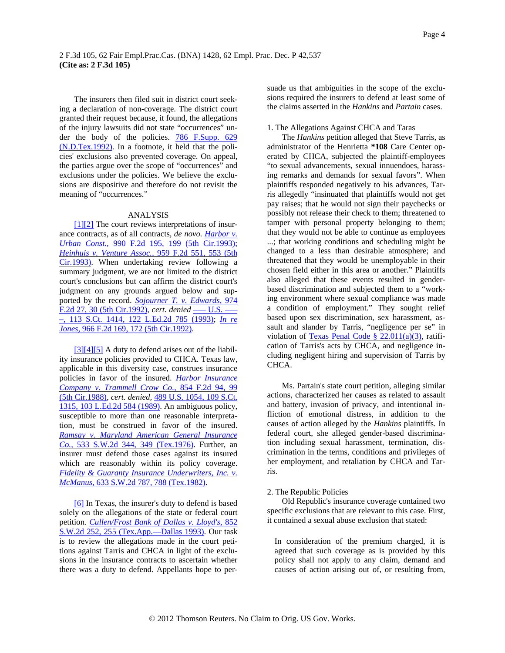<span id="page-3-0"></span>The insurers then filed suit in district court seeking a declaration of non-coverage. The district court granted their request because, it found, the allegations of the injury lawsuits did not state "occurrences" under the body of the policies. [786 F.Supp. 629](http://www.westlaw.com/Find/Default.wl?rs=dfa1.0&vr=2.0&DB=345&FindType=Y&SerialNum=1992065652)  [\(N.D.Tex.1992\)](http://www.westlaw.com/Find/Default.wl?rs=dfa1.0&vr=2.0&DB=345&FindType=Y&SerialNum=1992065652). In a footnote, it held that the policies' exclusions also prevented coverage. On appeal, the parties argue over the scope of "occurrences" and exclusions under the policies. We believe the exclusions are dispositive and therefore do not revisit the meaning of "occurrences."

#### ANALYSIS

[\[1\]\[2\]](#page-0-0) The court reviews interpretations of insurance contracts, as of all contracts, *de novo. Harbor v. [Urban Const.,](http://www.westlaw.com/Find/Default.wl?rs=dfa1.0&vr=2.0&DB=350&FindType=Y&ReferencePositionType=S&SerialNum=1993091041&ReferencePosition=199)* [990 F.2d 195, 199 \(5th Cir.1993\)](http://www.westlaw.com/Find/Default.wl?rs=dfa1.0&vr=2.0&DB=350&FindType=Y&ReferencePositionType=S&SerialNum=1993091041&ReferencePosition=199); *[Heinhuis v. Venture Assoc.,](http://www.westlaw.com/Find/Default.wl?rs=dfa1.0&vr=2.0&DB=350&FindType=Y&ReferencePositionType=S&SerialNum=1992074936&ReferencePosition=553)* [959 F.2d 551, 553 \(5th](http://www.westlaw.com/Find/Default.wl?rs=dfa1.0&vr=2.0&DB=350&FindType=Y&ReferencePositionType=S&SerialNum=1992074936&ReferencePosition=553)  [Cir.1993\).](http://www.westlaw.com/Find/Default.wl?rs=dfa1.0&vr=2.0&DB=350&FindType=Y&ReferencePositionType=S&SerialNum=1992074936&ReferencePosition=553) When undertaking review following a summary judgment, we are not limited to the district court's conclusions but can affirm the district court's judgment on any grounds argued below and supported by the record. *[Sojourner T. v. Edwards,](http://www.westlaw.com/Find/Default.wl?rs=dfa1.0&vr=2.0&DB=350&FindType=Y&ReferencePositionType=S&SerialNum=1992164763&ReferencePosition=30)* [974](http://www.westlaw.com/Find/Default.wl?rs=dfa1.0&vr=2.0&DB=350&FindType=Y&ReferencePositionType=S&SerialNum=1992164763&ReferencePosition=30)  [F.2d 27, 30 \(5th Cir.1992\),](http://www.westlaw.com/Find/Default.wl?rs=dfa1.0&vr=2.0&DB=350&FindType=Y&ReferencePositionType=S&SerialNum=1992164763&ReferencePosition=30) cert. denied -- U.S. --[–, 113 S.Ct. 1414, 122 L.Ed.2d 785 \(1993\)](http://www.westlaw.com/Find/Default.wl?rs=dfa1.0&vr=2.0&DB=708&DocName=113SCT1414&FindType=Y); *[In re](http://www.westlaw.com/Find/Default.wl?rs=dfa1.0&vr=2.0&DB=350&FindType=Y&ReferencePositionType=S&SerialNum=1992116651&ReferencePosition=172)  [Jones,](http://www.westlaw.com/Find/Default.wl?rs=dfa1.0&vr=2.0&DB=350&FindType=Y&ReferencePositionType=S&SerialNum=1992116651&ReferencePosition=172)* [966 F.2d 169, 172 \(5th Cir.1992\).](http://www.westlaw.com/Find/Default.wl?rs=dfa1.0&vr=2.0&DB=350&FindType=Y&ReferencePositionType=S&SerialNum=1992116651&ReferencePosition=172)

[\[3\]\[4\]](#page-0-0)[\[5\]](#page-1-0) A duty to defend arises out of the liability insurance policies provided to CHCA. Texas law, applicable in this diversity case, construes insurance policies in favor of the insured. *[Harbor Insurance](http://www.westlaw.com/Find/Default.wl?rs=dfa1.0&vr=2.0&DB=350&FindType=Y&ReferencePositionType=S&SerialNum=1988106828&ReferencePosition=99)  [Company v. Trammell Crow Co.,](http://www.westlaw.com/Find/Default.wl?rs=dfa1.0&vr=2.0&DB=350&FindType=Y&ReferencePositionType=S&SerialNum=1988106828&ReferencePosition=99)* [854 F.2d 94, 99](http://www.westlaw.com/Find/Default.wl?rs=dfa1.0&vr=2.0&DB=350&FindType=Y&ReferencePositionType=S&SerialNum=1988106828&ReferencePosition=99)  [\(5th Cir.1988\)](http://www.westlaw.com/Find/Default.wl?rs=dfa1.0&vr=2.0&DB=350&FindType=Y&ReferencePositionType=S&SerialNum=1988106828&ReferencePosition=99), *cert. denied,* [489 U.S. 1054, 109 S.Ct.](http://www.westlaw.com/Find/Default.wl?rs=dfa1.0&vr=2.0&DB=708&FindType=Y&SerialNum=1989033306)  [1315, 103 L.Ed.2d 584 \(1989\).](http://www.westlaw.com/Find/Default.wl?rs=dfa1.0&vr=2.0&DB=708&FindType=Y&SerialNum=1989033306) An ambiguous policy, susceptible to more than one reasonable interpretation, must be construed in favor of the insured. *[Ramsay v. Maryland American General Insurance](http://www.westlaw.com/Find/Default.wl?rs=dfa1.0&vr=2.0&DB=713&FindType=Y&ReferencePositionType=S&SerialNum=1976116881&ReferencePosition=349)  [Co.,](http://www.westlaw.com/Find/Default.wl?rs=dfa1.0&vr=2.0&DB=713&FindType=Y&ReferencePositionType=S&SerialNum=1976116881&ReferencePosition=349)* [533 S.W.2d 344, 349 \(Tex.1976\).](http://www.westlaw.com/Find/Default.wl?rs=dfa1.0&vr=2.0&DB=713&FindType=Y&ReferencePositionType=S&SerialNum=1976116881&ReferencePosition=349) Further, an insurer must defend those cases against its insured which are reasonably within its policy coverage. *[Fidelity & Guaranty Insurance Underwriters, Inc. v.](http://www.westlaw.com/Find/Default.wl?rs=dfa1.0&vr=2.0&DB=713&FindType=Y&ReferencePositionType=S&SerialNum=1982114654&ReferencePosition=788)  [McManus,](http://www.westlaw.com/Find/Default.wl?rs=dfa1.0&vr=2.0&DB=713&FindType=Y&ReferencePositionType=S&SerialNum=1982114654&ReferencePosition=788)* [633 S.W.2d 787, 788 \(Tex.1982\)](http://www.westlaw.com/Find/Default.wl?rs=dfa1.0&vr=2.0&DB=713&FindType=Y&ReferencePositionType=S&SerialNum=1982114654&ReferencePosition=788).

[\[6\]](#page-1-0) In Texas, the insurer's duty to defend is based solely on the allegations of the state or federal court petition. *[Cullen/Frost Bank of Dallas v. Lloyd's,](http://www.westlaw.com/Find/Default.wl?rs=dfa1.0&vr=2.0&DB=713&FindType=Y&ReferencePositionType=S&SerialNum=1993060147&ReferencePosition=255)* [852](http://www.westlaw.com/Find/Default.wl?rs=dfa1.0&vr=2.0&DB=713&FindType=Y&ReferencePositionType=S&SerialNum=1993060147&ReferencePosition=255)  [S.W.2d 252, 255 \(Tex.App.—Dallas 1993\)](http://www.westlaw.com/Find/Default.wl?rs=dfa1.0&vr=2.0&DB=713&FindType=Y&ReferencePositionType=S&SerialNum=1993060147&ReferencePosition=255). Our task is to review the allegations made in the court petitions against Tarris and CHCA in light of the exclusions in the insurance contracts to ascertain whether there was a duty to defend. Appellants hope to persuade us that ambiguities in the scope of the exclusions required the insurers to defend at least some of the claims asserted in the *Hankins* and *Partain* cases.

#### 1. The Allegations Against CHCA and Taras

The *Hankins* petition alleged that Steve Tarris, as administrator of the Henrietta **\*108** Care Center operated by CHCA, subjected the plaintiff-employees "to sexual advancements, sexual innuendoes, harassing remarks and demands for sexual favors". When plaintiffs responded negatively to his advances, Tarris allegedly "insinuated that plaintiffs would not get pay raises; that he would not sign their paychecks or possibly not release their check to them; threatened to tamper with personal property belonging to them; that they would not be able to continue as employees ...; that working conditions and scheduling might be changed to a less than desirable atmosphere; and threatened that they would be unemployable in their chosen field either in this area or another." Plaintiffs also alleged that these events resulted in genderbased discrimination and subjected them to a "working environment where sexual compliance was made a condition of employment." They sought relief based upon sex discrimination, sex harassment, assault and slander by Tarris, "negligence per se" in violation of Texas Penal Code §  $22.011(a)(3)$ , ratification of Tarris's acts by CHCA, and negligence including negligent hiring and supervision of Tarris by CHCA.

Ms. Partain's state court petition, alleging similar actions, characterized her causes as related to assault and battery, invasion of privacy, and intentional infliction of emotional distress, in addition to the causes of action alleged by the *Hankins* plaintiffs. In federal court, she alleged gender-based discrimination including sexual harassment, termination, discrimination in the terms, conditions and privileges of her employment, and retaliation by CHCA and Tarris.

#### 2. The Republic Policies

Old Republic's insurance coverage contained two specific exclusions that are relevant to this case. First, it contained a sexual abuse exclusion that stated:

In consideration of the premium charged, it is agreed that such coverage as is provided by this policy shall not apply to any claim, demand and causes of action arising out of, or resulting from,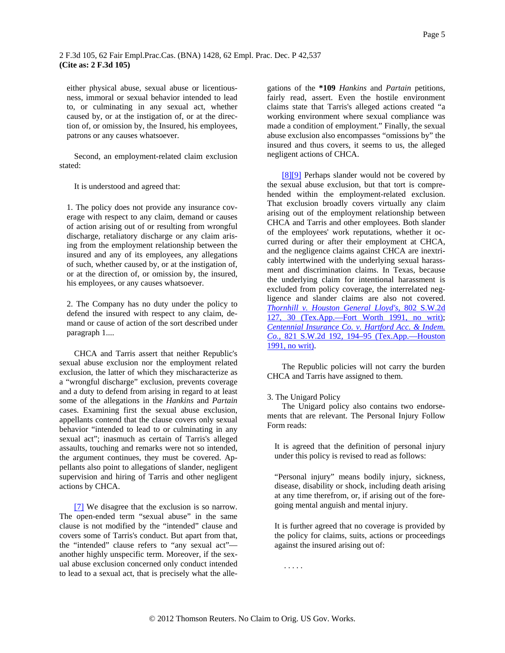<span id="page-4-0"></span>either physical abuse, sexual abuse or licentiousness, immoral or sexual behavior intended to lead to, or culminating in any sexual act, whether caused by, or at the instigation of, or at the direction of, or omission by, the Insured, his employees, patrons or any causes whatsoever.

Second, an employment-related claim exclusion stated:

It is understood and agreed that:

1. The policy does not provide any insurance coverage with respect to any claim, demand or causes of action arising out of or resulting from wrongful discharge, retaliatory discharge or any claim arising from the employment relationship between the insured and any of its employees, any allegations of such, whether caused by, or at the instigation of, or at the direction of, or omission by, the insured, his employees, or any causes whatsoever.

2. The Company has no duty under the policy to defend the insured with respect to any claim, demand or cause of action of the sort described under paragraph 1....

CHCA and Tarris assert that neither Republic's sexual abuse exclusion nor the employment related exclusion, the latter of which they mischaracterize as a "wrongful discharge" exclusion, prevents coverage and a duty to defend from arising in regard to at least some of the allegations in the *Hankins* and *Partain* cases. Examining first the sexual abuse exclusion, appellants contend that the clause covers only sexual behavior "intended to lead to or culminating in any sexual act"; inasmuch as certain of Tarris's alleged assaults, touching and remarks were not so intended, the argument continues, they must be covered. Appellants also point to allegations of slander, negligent supervision and hiring of Tarris and other negligent actions by CHCA.

[\[7\]](#page-1-0) We disagree that the exclusion is so narrow. The open-ended term "sexual abuse" in the same clause is not modified by the "intended" clause and covers some of Tarris's conduct. But apart from that, the "intended" clause refers to "any sexual act" another highly unspecific term. Moreover, if the sexual abuse exclusion concerned only conduct intended to lead to a sexual act, that is precisely what the alle-

gations of the **\*109** *Hankins* and *Partain* petitions, fairly read, assert. Even the hostile environment claims state that Tarris's alleged actions created "a working environment where sexual compliance was made a condition of employment." Finally, the sexual abuse exclusion also encompasses "omissions by" the insured and thus covers, it seems to us, the alleged negligent actions of CHCA.

[\[8\]\[9\]](#page-1-0) Perhaps slander would not be covered by the sexual abuse exclusion, but that tort is comprehended within the employment-related exclusion. That exclusion broadly covers virtually any claim arising out of the employment relationship between CHCA and Tarris and other employees. Both slander of the employees' work reputations, whether it occurred during or after their employment at CHCA, and the negligence claims against CHCA are inextricably intertwined with the underlying sexual harassment and discrimination claims. In Texas, because the underlying claim for intentional harassment is excluded from policy coverage, the interrelated negligence and slander claims are also not covered. *[Thornhill v. Houston General Lloyd's,](http://www.westlaw.com/Find/Default.wl?rs=dfa1.0&vr=2.0&DB=713&FindType=Y&SerialNum=1991034193)* [802 S.W.2d](http://www.westlaw.com/Find/Default.wl?rs=dfa1.0&vr=2.0&DB=713&FindType=Y&SerialNum=1991034193)  [127, 30 \(Tex.App.—Fort Worth 1991, no writ\)](http://www.westlaw.com/Find/Default.wl?rs=dfa1.0&vr=2.0&DB=713&FindType=Y&SerialNum=1991034193); *[Centennial Insurance Co. v. Hartford Acc. & Indem.](http://www.westlaw.com/Find/Default.wl?rs=dfa1.0&vr=2.0&DB=713&FindType=Y&ReferencePositionType=S&SerialNum=1991137984&ReferencePosition=194)  [Co.,](http://www.westlaw.com/Find/Default.wl?rs=dfa1.0&vr=2.0&DB=713&FindType=Y&ReferencePositionType=S&SerialNum=1991137984&ReferencePosition=194)* [821 S.W.2d 192, 194–95 \(Tex.App.—Houston](http://www.westlaw.com/Find/Default.wl?rs=dfa1.0&vr=2.0&DB=713&FindType=Y&ReferencePositionType=S&SerialNum=1991137984&ReferencePosition=194)  [1991, no writ\).](http://www.westlaw.com/Find/Default.wl?rs=dfa1.0&vr=2.0&DB=713&FindType=Y&ReferencePositionType=S&SerialNum=1991137984&ReferencePosition=194)

The Republic policies will not carry the burden CHCA and Tarris have assigned to them.

#### 3. The Unigard Policy

The Unigard policy also contains two endorsements that are relevant. The Personal Injury Follow Form reads:

It is agreed that the definition of personal injury under this policy is revised to read as follows:

"Personal injury" means bodily injury, sickness, disease, disability or shock, including death arising at any time therefrom, or, if arising out of the foregoing mental anguish and mental injury.

It is further agreed that no coverage is provided by the policy for claims, suits, actions or proceedings against the insured arising out of:

. . . . .